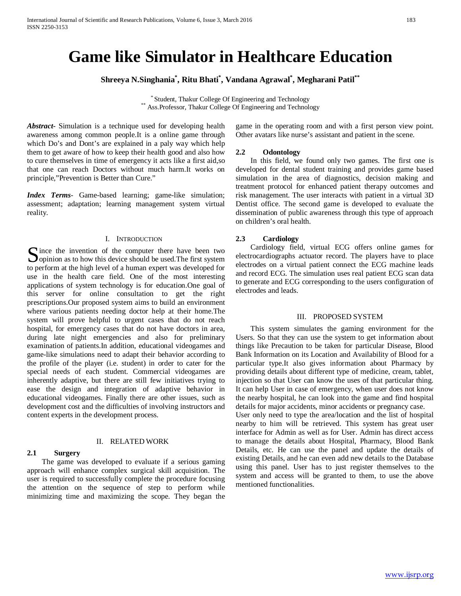# **Game like Simulator in Healthcare Education**

**Shreeya N.Singhania\* , Ritu Bhati\* , Vandana Agrawal\* , Megharani Patil\*\***

\* Student, Thakur College Of Engineering and Technology \*\* Ass.Professor, Thakur College Of Engineering and Technology

*Abstract***-** Simulation is a technique used for developing health awareness among common people.It is a online game through which Do's and Dont's are explained in a paly way which help them to get aware of how to keep their health good and also how to cure themselves in time of emergency it acts like a first aid,so that one can reach Doctors without much harm.It works on principle,"Prevention is Better than Cure."

*Index Terms*- Game-based learning; game-like simulation; assessment; adaptation; learning management system virtual reality.

## I. INTRODUCTION

ince the invention of the computer there have been two Since the invention of the computer there have been two opinion as to how this device should be used. The first system  $\sum_{n=1}^{\infty}$ to perform at the high level of a human expert was developed for use in the health care field. One of the most interesting applications of system technology is for education.One goal of this server for online consultation to get the right prescriptions.Our proposed system aims to build an environment where various patients needing doctor help at their home.The system will prove helpful to urgent cases that do not reach hospital, for emergency cases that do not have doctors in area, during late night emergencies and also for preliminary examination of patients.In addition, educational videogames and game-like simulations need to adapt their behavior according to the profile of the player (i.e. student) in order to cater for the special needs of each student. Commercial videogames are inherently adaptive, but there are still few initiatives trying to ease the design and integration of adaptive behavior in educational videogames. Finally there are other issues, such as development cost and the difficulties of involving instructors and content experts in the development process.

## II. RELATED WORK

## **2.1 Surgery**

 The game was developed to evaluate if a serious gaming approach will enhance complex surgical skill acquisition. The user is required to successfully complete the procedure focusing the attention on the sequence of step to perform while minimizing time and maximizing the scope. They began the game in the operating room and with a first person view point. Other avatars like nurse's assistant and patient in the scene.

#### **2.2 Odontology**

 In this field, we found only two games. The first one is developed for dental student training and provides game based simulation in the area of diagnostics, decision making and treatment protocol for enhanced patient therapy outcomes and risk management. The user interacts with patient in a virtual 3D Dentist office. The second game is developed to evaluate the dissemination of public awareness through this type of approach on children's oral health.

#### **2.3 Cardiology**

 Cardiology field, virtual ECG offers online games for electrocardiographs actuator record. The players have to place electrodes on a virtual patient connect the ECG machine leads and record ECG. The simulation uses real patient ECG scan data to generate and ECG corresponding to the users configuration of electrodes and leads.

#### III. PROPOSED SYSTEM

 This system simulates the gaming environment for the Users. So that they can use the system to get information about things like Precaution to be taken for particular Disease, Blood Bank Information on its Location and Availability of Blood for a particular type.It also gives information about Pharmacy by providing details about different type of medicine, cream, tablet, injection so that User can know the uses of that particular thing. It can help User in case of emergency, when user does not know the nearby hospital, he can look into the game and find hospital details for major accidents, minor accidents or pregnancy case.

User only need to type the area/location and the list of hospital nearby to him will be retrieved. This system has great user interface for Admin as well as for User. Admin has direct access to manage the details about Hospital, Pharmacy, Blood Bank Details, etc. He can use the panel and update the details of existing Details, and he can even add new details to the Database using this panel. User has to just register themselves to the system and access will be granted to them, to use the above mentioned functionalities.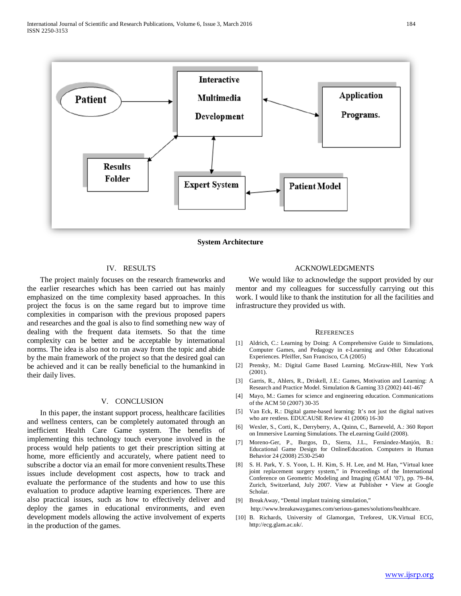

**System Architecture**

## IV. RESULTS

 The project mainly focuses on the research frameworks and the earlier researches which has been carried out has mainly emphasized on the time complexity based approaches. In this project the focus is on the same regard but to improve time complexities in comparison with the previous proposed papers and researches and the goal is also to find something new way of dealing with the frequent data itemsets. So that the time complexity can be better and be acceptable by international norms. The idea is also not to run away from the topic and abide by the main framework of the project so that the desired goal can be achieved and it can be really beneficial to the humankind in their daily lives.

# V. CONCLUSION

 In this paper, the instant support process, healthcare facilities and wellness centers, can be completely automated through an inefficient Health Care Game system. The benefits of implementing this technology touch everyone involved in the process would help patients to get their prescription sitting at home, more efficiently and accurately, where patient need to subscribe a doctor via an email for more convenient results.These issues include development cost aspects, how to track and evaluate the performance of the students and how to use this evaluation to produce adaptive learning experiences. There are also practical issues, such as how to effectively deliver and deploy the games in educational environments, and even development models allowing the active involvement of experts in the production of the games.

#### ACKNOWLEDGMENTS

 We would like to acknowledge the support provided by our mentor and my colleagues for successfully carrying out this work. I would like to thank the institution for all the facilities and infrastructure they provided us with.

#### **REFERENCES**

- [1] Aldrich, C.: Learning by Doing: A Comprehensive Guide to Simulations, Computer Games, and Pedagogy in e-Learning and Other Educational Experiences. Pfeiffer, San Francisco, CA (2005)
- [2] Prensky, M.: Digital Game Based Learning. McGraw-Hill, New York (2001).
- [3] Garris, R., Ahlers, R., Driskell, J.E.: Games, Motivation and Learning: A Research and Practice Model. Simulation & Gaming 33 (2002) 441-467
- [4] Mayo, M.: Games for science and engineering education. Communications of the ACM 50 (2007) 30-35
- [5] Van Eck, R.: Digital game-based learning: It's not just the digital natives who are restless. EDUCAUSE Review 41 (2006) 16-30
- [6] Wexler, S., Corti, K., Derryberry, A., Quinn, C., Barneveld, A.: 360 Report on Immersive Learning Simulations. The eLearning Guild (2008).
- [7] Moreno-Ger, P., Burgos, D., Sierra, J.L., Fernández-Manjón, B.: Educational Game Design for OnlineEducation. Computers in Human Behavior 24 (2008) 2530-2540
- [8] S. H. Park, Y. S. Yoon, L. H. Kim, S. H. Lee, and M. Han, "Virtual knee joint replacement surgery system," in Proceedings of the International Conference on Geometric Modeling and Imaging (GMAI '07), pp. 79–84, Zurich, Switzerland, July 2007. View at Publisher • View at Google Scholar.
- [9] BreakAway, "Dental implant training simulation," http://www.breakawaygames.com/serious-games/solutions/healthcare.
- [10] B. Richards, University of Glamorgan, Treforest, UK.Virtual ECG, http://ecg.glam.ac.uk/.